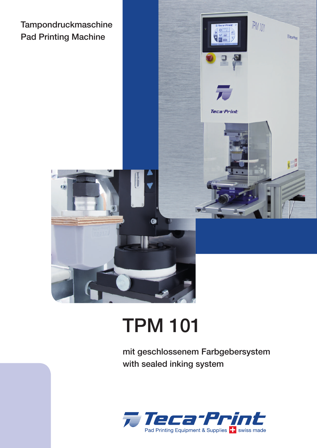



## TPM 101

mit geschlossenem Farbgebersystem with sealed inking system

 $IPMIOI$ 

Wieca Print

門

 $562$ 

**Teca**<sup>-Print</sup>

2 5339